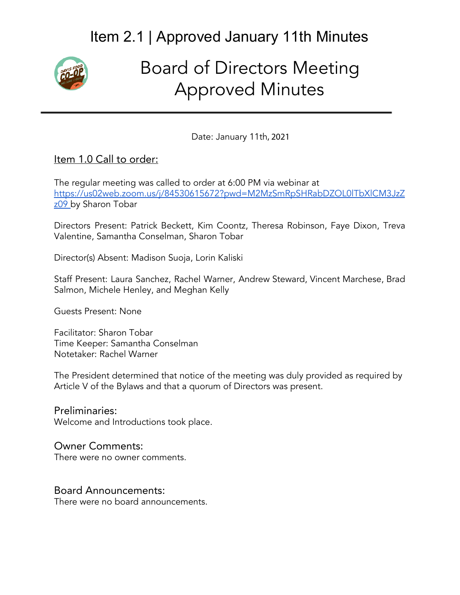

# Board of Directors Meeting Approved Minutes

Date: January 11th, 2021

#### Item 1.0 Call to order:

The regular meeting was called to order at 6:00 PM via webinar at [https://us02web.zoom.us/j/84530615672?pwd=M2MzSmRpSHRabDZOL0lTbXlCM3JzZ](https://us02web.zoom.us/j/84530615672?pwd=M2MzSmRpSHRabDZOL0lTbXlCM3JzZz09) [z09 b](https://us02web.zoom.us/j/84530615672?pwd=M2MzSmRpSHRabDZOL0lTbXlCM3JzZz09)y Sharon Tobar

Directors Present: Patrick Beckett, Kim Coontz, Theresa Robinson, Faye Dixon, Treva Valentine, Samantha Conselman, Sharon Tobar

Director(s) Absent: Madison Suoja, Lorin Kaliski

Staff Present: Laura Sanchez, Rachel Warner, Andrew Steward, Vincent Marchese, Brad Salmon, Michele Henley, and Meghan Kelly

Guests Present: None

Facilitator: Sharon Tobar Time Keeper: Samantha Conselman Notetaker: Rachel Warner

The President determined that notice of the meeting was duly provided as required by Article V of the Bylaws and that a quorum of Directors was present.

Preliminaries: Welcome and Introductions took place.

#### Owner Comments:

There were no owner comments.

#### Board Announcements:

There were no board announcements.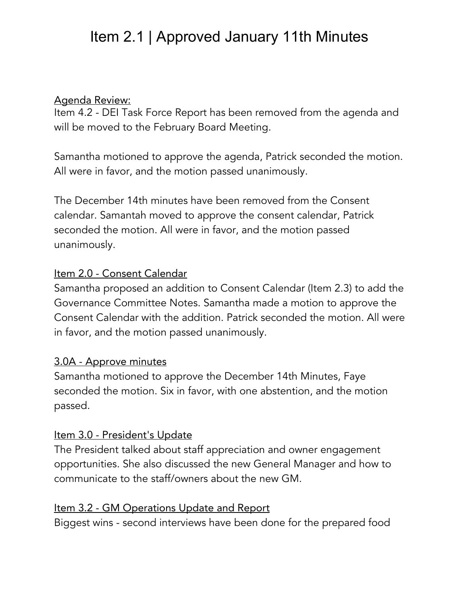#### Agenda Review:

Item 4.2 - DEI Task Force Report has been removed from the agenda and will be moved to the February Board Meeting.

Samantha motioned to approve the agenda, Patrick seconded the motion. All were in favor, and the motion passed unanimously.

The December 14th minutes have been removed from the Consent calendar. Samantah moved to approve the consent calendar, Patrick seconded the motion. All were in favor, and the motion passed unanimously.

### Item 2.0 - Consent Calendar

Samantha proposed an addition to Consent Calendar (Item 2.3) to add the Governance Committee Notes. Samantha made a motion to approve the Consent Calendar with the addition. Patrick seconded the motion. All were in favor, and the motion passed unanimously.

### 3.0A - Approve minutes

Samantha motioned to approve the December 14th Minutes, Faye seconded the motion. Six in favor, with one abstention, and the motion passed.

### Item 3.0 - President's Update

The President talked about staff appreciation and owner engagement opportunities. She also discussed the new General Manager and how to communicate to the staff/owners about the new GM.

### Item 3.2 - GM Operations Update and Report

Biggest wins - second interviews have been done for the prepared food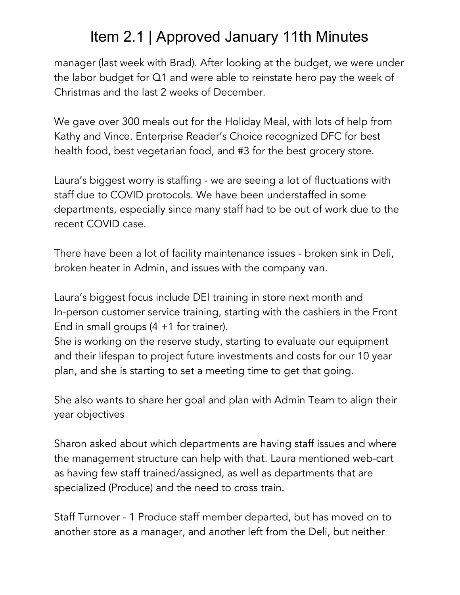manager (last week with Brad). After looking at the budget, we were under the labor budget for Q1 and were able to reinstate hero pay the week of Christmas and the last 2 weeks of December.

We gave over 300 meals out for the Holiday Meal, with lots of help from Kathy and Vince. Enterprise Reader's Choice recognized DFC for best health food, best vegetarian food, and #3 for the best grocery store.

Laura's biggest worry is staffing - we are seeing a lot of fluctuations with staff due to COVID protocols. We have been understaffed in some departments, especially since many staff had to be out of work due to the recent COVID case.

There have been a lot of facility maintenance issues - broken sink in Deli, broken heater in Admin, and issues with the company van.

Laura's biggest focus include DEI training in store next month and In-person customer service training, starting with the cashiers in the Front End in small groups  $(4 + 1)$  for trainer).

She is working on the reserve study, starting to evaluate our equipment and their lifespan to project future investments and costs for our 10 year plan, and she is starting to set a meeting time to get that going.

She also wants to share her goal and plan with Admin Team to align their year objectives

Sharon asked about which departments are having staff issues and where the management structure can help with that. Laura mentioned web-cart as having few staff trained/assigned, as well as departments that are specialized (Produce) and the need to cross train.

Staff Turnover - 1 Produce staff member departed, but has moved on to another store as a manager, and another left from the Deli, but neither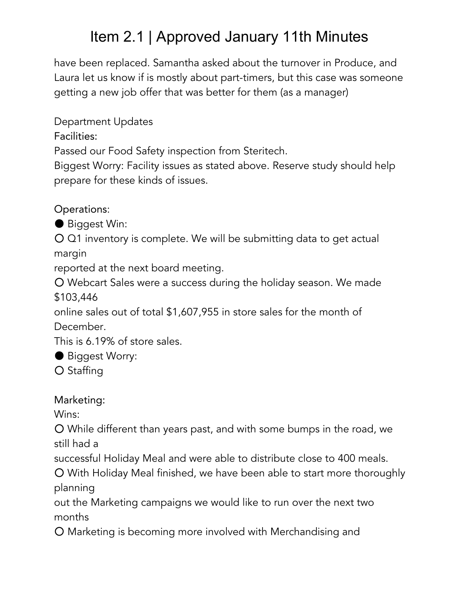have been replaced. Samantha asked about the turnover in Produce, and Laura let us know if is mostly about part-timers, but this case was someone getting a new job offer that was better for them (as a manager)

Department Updates

Facilities:

Passed our Food Safety inspection from Steritech.

Biggest Worry: Facility issues as stated above. Reserve study should help prepare for these kinds of issues.

Operations:

● Biggest Win:

O Q1 inventory is complete. We will be submitting data to get actual margin

reported at the next board meeting.

○ Webcart Sales were a success during the holiday season. We made \$103,446

online sales out of total \$1,607,955 in store sales for the month of December.

This is 6.19% of store sales.

● Biggest Worry:

○ Staffing

Marketing:

Wins:

○ While different than years past, and with some bumps in the road, we still had a

successful Holiday Meal and were able to distribute close to 400 meals.

○ With Holiday Meal finished, we have been able to start more thoroughly planning

out the Marketing campaigns we would like to run over the next two months

○ Marketing is becoming more involved with Merchandising and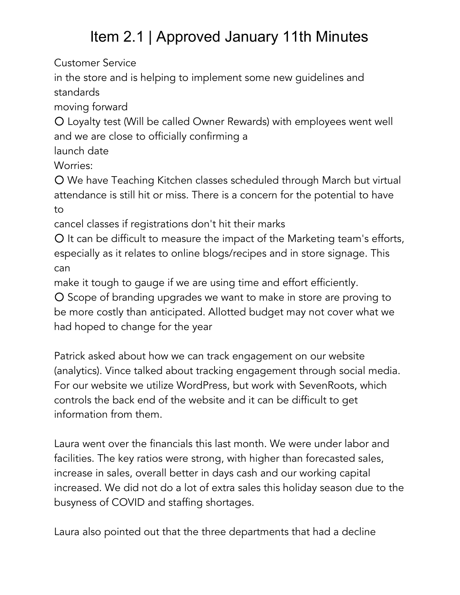Customer Service

in the store and is helping to implement some new guidelines and standards

moving forward

○ Loyalty test (Will be called Owner Rewards) with employees went well and we are close to officially confirming a

launch date

Worries:

○ We have Teaching Kitchen classes scheduled through March but virtual attendance is still hit or miss. There is a concern for the potential to have to

cancel classes if registrations don't hit their marks

○ It can be difficult to measure the impact of the Marketing team's efforts, especially as it relates to online blogs/recipes and in store signage. This can

make it tough to gauge if we are using time and effort efficiently.

○ Scope of branding upgrades we want to make in store are proving to be more costly than anticipated. Allotted budget may not cover what we had hoped to change for the year

Patrick asked about how we can track engagement on our website (analytics). Vince talked about tracking engagement through social media. For our website we utilize WordPress, but work with SevenRoots, which controls the back end of the website and it can be difficult to get information from them.

Laura went over the financials this last month. We were under labor and facilities. The key ratios were strong, with higher than forecasted sales, increase in sales, overall better in days cash and our working capital increased. We did not do a lot of extra sales this holiday season due to the busyness of COVID and staffing shortages.

Laura also pointed out that the three departments that had a decline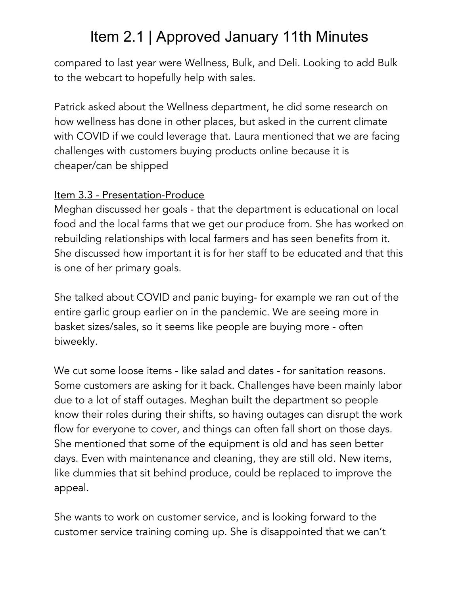compared to last year were Wellness, Bulk, and Deli. Looking to add Bulk to the webcart to hopefully help with sales.

Patrick asked about the Wellness department, he did some research on how wellness has done in other places, but asked in the current climate with COVID if we could leverage that. Laura mentioned that we are facing challenges with customers buying products online because it is cheaper/can be shipped

#### Item 3.3 - Presentation-Produce

Meghan discussed her goals - that the department is educational on local food and the local farms that we get our produce from. She has worked on rebuilding relationships with local farmers and has seen benefits from it. She discussed how important it is for her staff to be educated and that this is one of her primary goals.

She talked about COVID and panic buying- for example we ran out of the entire garlic group earlier on in the pandemic. We are seeing more in basket sizes/sales, so it seems like people are buying more - often biweekly.

We cut some loose items - like salad and dates - for sanitation reasons. Some customers are asking for it back. Challenges have been mainly labor due to a lot of staff outages. Meghan built the department so people know their roles during their shifts, so having outages can disrupt the work flow for everyone to cover, and things can often fall short on those days. She mentioned that some of the equipment is old and has seen better days. Even with maintenance and cleaning, they are still old. New items, like dummies that sit behind produce, could be replaced to improve the appeal.

She wants to work on customer service, and is looking forward to the customer service training coming up. She is disappointed that we can't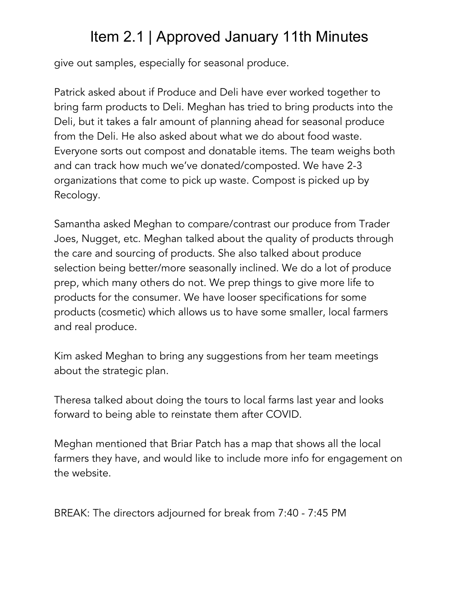give out samples, especially for seasonal produce.

Patrick asked about if Produce and Deli have ever worked together to bring farm products to Deli. Meghan has tried to bring products into the Deli, but it takes a faIr amount of planning ahead for seasonal produce from the Deli. He also asked about what we do about food waste. Everyone sorts out compost and donatable items. The team weighs both and can track how much we've donated/composted. We have 2-3 organizations that come to pick up waste. Compost is picked up by Recology.

Samantha asked Meghan to compare/contrast our produce from Trader Joes, Nugget, etc. Meghan talked about the quality of products through the care and sourcing of products. She also talked about produce selection being better/more seasonally inclined. We do a lot of produce prep, which many others do not. We prep things to give more life to products for the consumer. We have looser specifications for some products (cosmetic) which allows us to have some smaller, local farmers and real produce.

Kim asked Meghan to bring any suggestions from her team meetings about the strategic plan.

Theresa talked about doing the tours to local farms last year and looks forward to being able to reinstate them after COVID.

Meghan mentioned that Briar Patch has a map that shows all the local farmers they have, and would like to include more info for engagement on the website.

BREAK: The directors adjourned for break from 7:40 - 7:45 PM